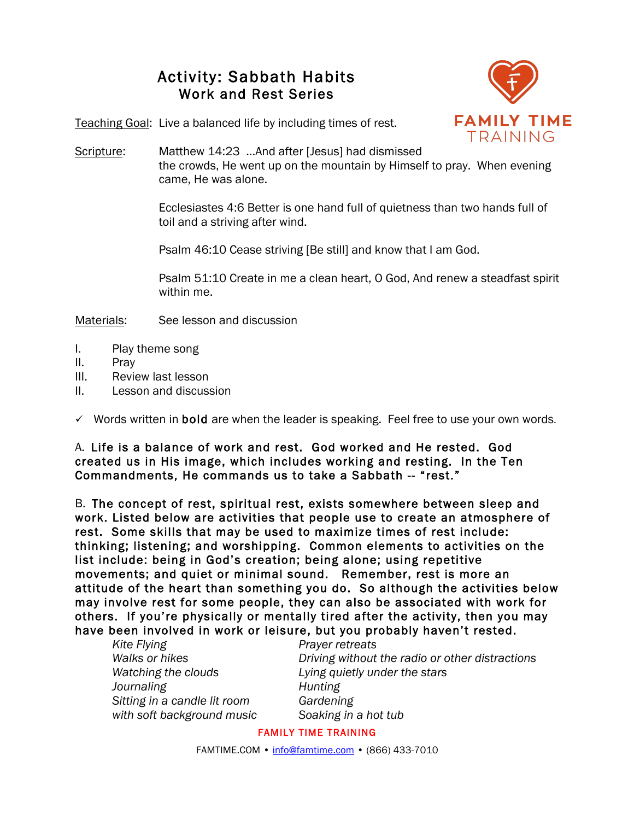## Activity: Sabbath Habits Work and Rest Series



Teaching Goal: Live a balanced life by including times of rest.

Scripture: Matthew 14:23 …And after [Jesus] had dismissed the crowds, He went up on the mountain by Himself to pray. When evening came, He was alone.

> Ecclesiastes 4:6 Better is one hand full of quietness than two hands full of toil and a striving after wind.

Psalm 46:10 Cease striving [Be still] and know that I am God.

Psalm 51:10 Create in me a clean heart, O God, And renew a steadfast spirit within me.

Materials: See lesson and discussion

- I. Play theme song
- II. Pray
- III. Review last lesson
- II. Lesson and discussion

 $\checkmark$  Words written in **bold** are when the leader is speaking. Feel free to use your own words.

A. Life is a balance of work and rest. God worked and He rested. God created us in His image, which includes working and resting. In the Ten Commandments, He commands us to take a Sabbath -- "rest."

B. The concept of rest, spiritual rest, exists somewhere between sleep and work. Listed below are activities that people use to create an atmosphere of rest. Some skills that may be used to maximize times of rest include: thinking; listening; and worshipping. Common elements to activities on the list include: being in God's creation; being alone; using repetitive movements; and quiet or minimal sound. Remember, rest is more an attitude of the heart than something you do. So although the activities below may involve rest for some people, they can also be associated with work for others. If you're physically or mentally tired after the activity, then you may have been involved in work or leisure, but you probably haven't rested.

| Kite Flying                  |
|------------------------------|
| Walks or hikes               |
| Watching the clouds          |
| Journaling                   |
| Sitting in a candle lit room |
| with soft background music   |

**Prayer retreats** *Driving without the radio or other distractions* Lying quietly under the stars *Journaling Hunting Sitting in a candle lit room Gardening Soaking in a hot tub* 

FAMILY TIME TRAINING

FAMTIME.COM • info@famtime.com • (866) 433-7010